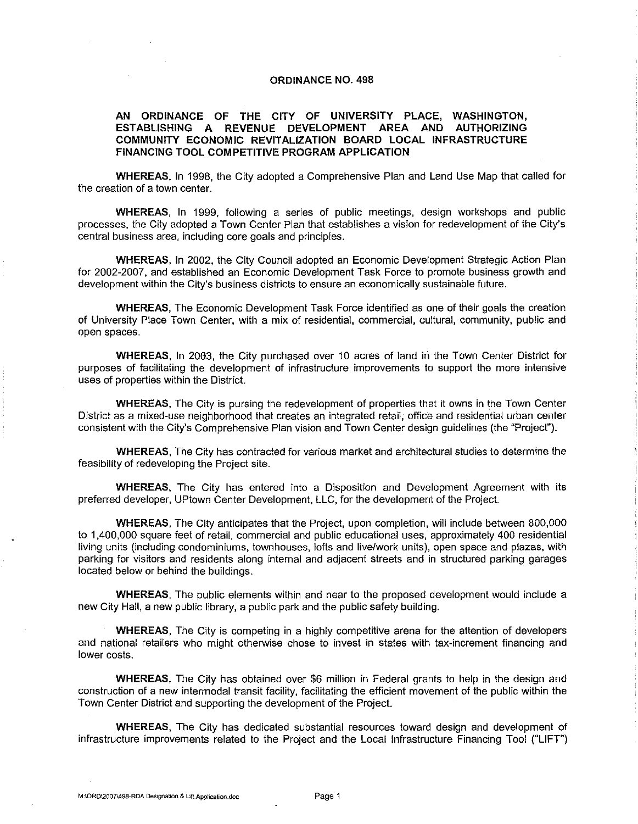#### **ORDINANCE NO. 498**

#### **AN ORDINANCE OF THE CITY OF UNIVERSITY PLACE, WASHINGTON, ESTABLISHING A REVENUE DEVELOPMENT AREA AND AUTHORIZING COMMUNITY ECONOMIC REVITALIZATION BOARD LOCAL INFRASTRUCTURE FINANCING TOOL COMPETITIVE PROGRAM APPLICATION**

**WHEREAS,** In 1998, the City adopted a Comprehensive Plan and Land Use Map that called for the creation of a town center.

**WHEREAS,** In 1999, following a series of public meetings, design workshops and public processes, the City adopted a Town Center Plan that establishes a vision for redevelopment of the City's central business area, including core goals and principles.

**WHEREAS,** In 2002, the City Council adopted an Economic Development Strategic Action Plan for 2002-2007, and established an Economic Development Task Force to promote business growth and development within the City's business districts to ensure an economically sustainable future.

**WHEREAS,** The Economic Development Task Force identified as one of their goals the creation of University Place Town Center, with a mix of residential, commercial, cultural, community, public and open spaces.

WHEREAS, In 2003, the City purchased over 10 acres of land in the Town Center District for purposes of facilitating the development of infrastructure improvements to support the more intensive uses of properties within the District.

**WHEREAS,** The City is pursing the redevelopment of properties that it owns in the Town Center District as a mixed-use neighborhood that creates an integrated retail, office and residential urban center consistent with the City's Comprehensive Plan vision and Town Center design guidelines (the "Projecf').

**WHEREAS,** The City has contracted for various market and architectural studies to determine the feasibility of redeveloping the Project site.

**WHEREAS,** The City has entered into a Disposition and Development Agreement with its preferred developer, UPtown Center Development, LLC, for the development of the Project.

**WHEREAS,** The City anticipates that the Project, upon completion, will include between 800,000 to 1,400,000 square feet of retail, commercial and public educational uses, approximately 400 residential living units (including condominiums, townhouses, lofts and live/work units), open space and plazas, with parking for visitors and residents along internal and adjacent streets and in structured parking garages located below or behind the buildings.

**WHEREAS,** The public elements within and near to the proposed development would include a new City Hall, a new public library, a public park and the public safety building.

**WHEREAS,** The City is competing in a highly competitive arena for the attention of developers and national retailers who might otherwise chose to invest in states with tax-increment financing and lower costs.

**WHEREAS,** The City has obtained over \$6 million in Federal grants to help in the design and construction of a new intermodal transit facility, facilitating the efficient movement of the public within the Town Center District and supporting the development of the Project.

**WHEREAS,** The City has dedicated substantial resources toward design and development of infrastructure improvements related to the Project and the Local Infrastructure Financing Tool ("LIFT')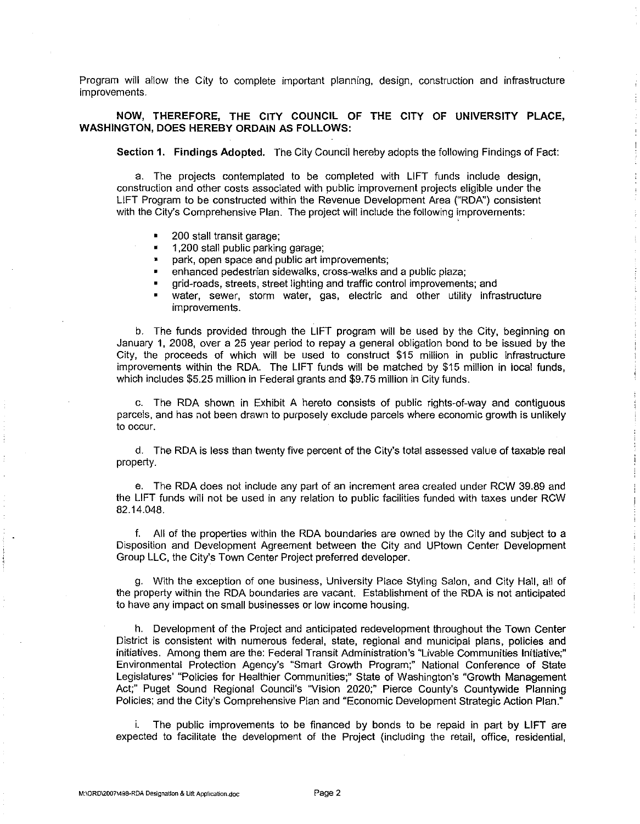Program will allow the City to complete important planning, design, construction and infrastructure improvements.

### NOW, THEREFORE, THE CITY COUNCIL OF THE CITY OF UNIVERSITY PLACE, WASHINGTON, DOES HEREBY ORDAIN AS FOLLOWS:

Section 1. Findings Adopted. The City Council hereby adopts the following Findings of Fact:

a. The projects contemplated to be completed with LIFT funds include design, construction and other costs associated with public improvement projects eligible under the LIFT Program to be constructed within the Revenue Development Area ("RDA") consistent with the City's Comprehensive Plan. The project will include the following improvements:

- 200 stall transit garage;
- 1 ,200 stall public parking garage;
- park, open space and public art improvements;
- enhanced pedestrian sidewalks, cross-walks and a public plaza;
- grid-roads, streets, street lighting and traffic control improvements; and
- water, sewer, storm water, gas, electric and other utility infrastructure improvements.

b. The funds provided through the LIFT program will be used by the City, beginning on January 1, 2008, over a 25 year period to repay a general obligation bond to be issued by the City, the proceeds of which will be used to construct \$15 million in public infrastructure improvements within the RDA. The LIFT funds will be matched by \$15 million in local funds, which includes \$5.25 million in Federal grants and \$9.75 million in City funds.

c. The RDA shown in Exhibit A hereto consists of public rights-of-way and contiguous parcels, and has not been drawn to purposely exclude parcels where economic growth is unlikely to occur.

d. The RDA is less than twenty five percent of the City's total assessed value of taxable real property.

e. The RDA does not include any part of an increment area created under RCW 39.89 and the LIFT funds will not be used in any relation to public facilities funded with taxes under RCW 82.14.048.

f. All of the properties within the RDA boundaries are owned by the City and subject to a Disposition and Development Agreement between the City and UPtown Center Development Group LLC, the City's Town Center Project preferred developer.

g. With the exception of one business, University Place Styling Salon, and City Hall, all of the property within the RDA boundaries are vacant. Establishment of the RDA is not anticipated to have any impact on small businesses or low income housing.

h. Development of the Project and anticipated redevelopment throughout the Town Center District is consistent with numerous federal, state, regional and municipal plans, policies and initiatives. Among them are the: Federal Transit Administration's "Livable Communities Initiative;" Environmental Protection Agency's "Smart Growth Program;" National Conference of State Legislatures' "Policies for Healthier Communities;" State of Washington's "Growth Management Act;" Puget Sound Regional Council's "Vision 2020;" Pierce County's Countywide Planning Policies; and the City's Comprehensive Plan and "Economic Development Strategic Action Plan."

i. The public improvements to be financed by bonds to be repaid in part by LIFT are expected to facilitate the development of the Project (including the retail, office, residential,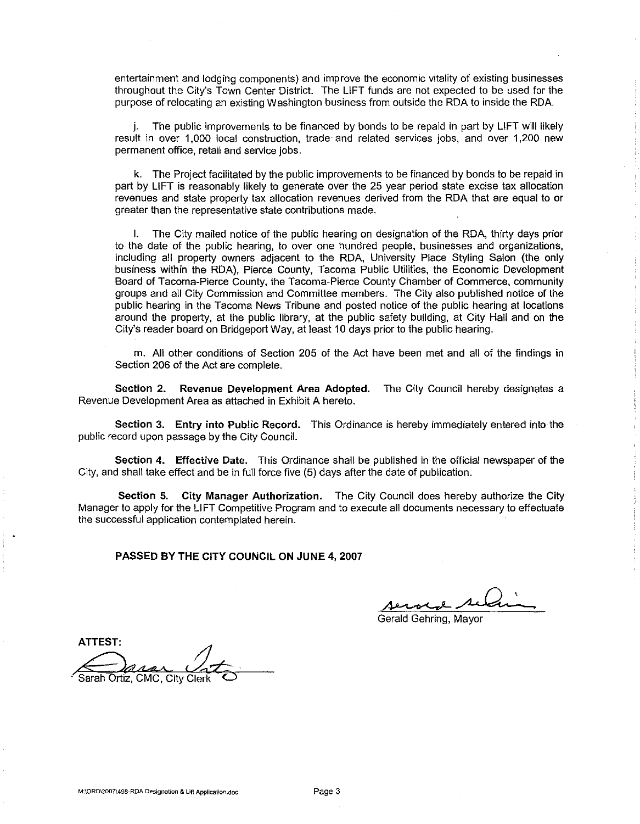entertainment and lodging components) and improve the economic vitality of existing businesses throughout the City's Town Center District. The LIFT funds are not expected to be used for the purpose of relocating an existing Washington business from outside the RDA to inside the RDA.

j. The public improvements to be financed by bonds to be repaid in part by LIFT will likely result in over 1,000 local construction, trade· and related services jobs, and over 1,200 new permanent office, retail and service jobs.

k. The Project facilitated by the public improvements to be financed by bonds to be repaid in part by LIFT is reasonably likely to generate over the 25 year period state excise tax allocation revenues and state property tax allocation revenues derived from the RDA that are equal to or greater than the representative state contributions made.

I. The City mailed notice of the public hearing on designation of the RDA, thirty days prior to the date of the public hearing, to over one hundred people, businesses and organizations, including all property owners adjacent to the RDA, University Place Styling Salon {the only business within the RDA), Pierce County, Tacoma Public Utilities, the Economic Development Board of Tacoma-Pierce County, the Tacoma-Pierce County Chamber of Commerce, community groups and all City Commission and Committee members. The City also published notice of the public hearing in the Tacoma News Tribune and posted notice of the public hearing at locations around the property, at the public library, at the public safety building, at City Hall and on the City's reader board on Bridgeport Way, at least 10 days prior to the public hearing.

m. All other conditions of Section 205 of the Act have been met and all of the findings in Section 206 of the Act are complete.

**Section 2. Revenue Development Area Adopted.** The City Council hereby designates a Revenue Development Area as attached in Exhibit A hereto.

**Section 3. Entry into Public Record.** This Ordinance is hereby immediately entered into the public record upon passage by the City Council.

**Section 4. Effective Date.** This Ordinance shall be published in the official newspaper of the City, and shall take effect and be in full force five (5) days after the date of publication.

**Section 5. City Manager Authorization.** The City Council does hereby authorize the City Manager to apply for the LIFT Competitive Program and to execute all documents necessary to effectuate the successful application contemplated herein.

**PASSED BY THE CITY COUNCIL ON JUNE 4, 2007** 

<u>served selain</u>

Gerald Gehring, Mayor

ATTEST: Sarah Ortiz, CMC, City Clerk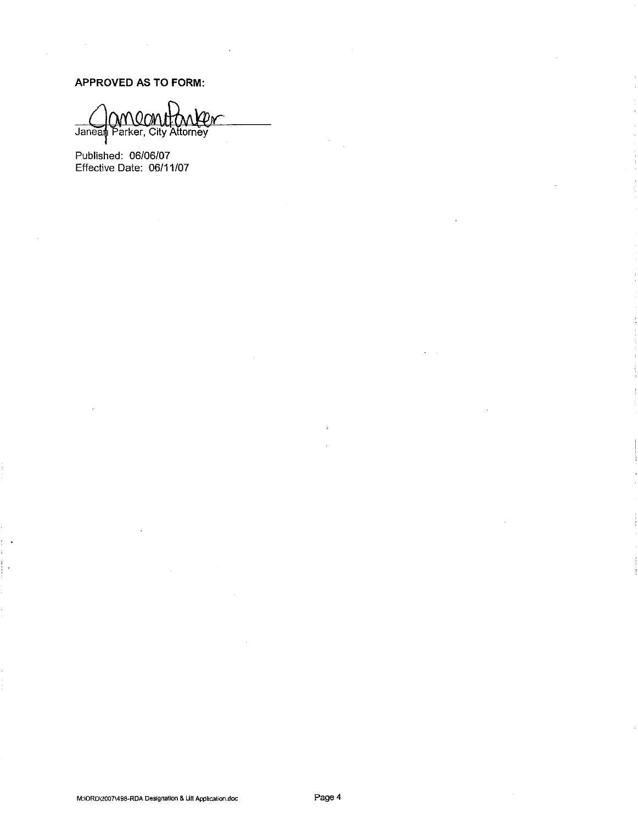**APPROVED AS TO FORM:** 

 $\mathcal{A}$ 

anean Janean Parker, City Attorney

Published: 06/06/07 Effective Date: 06/11 /07